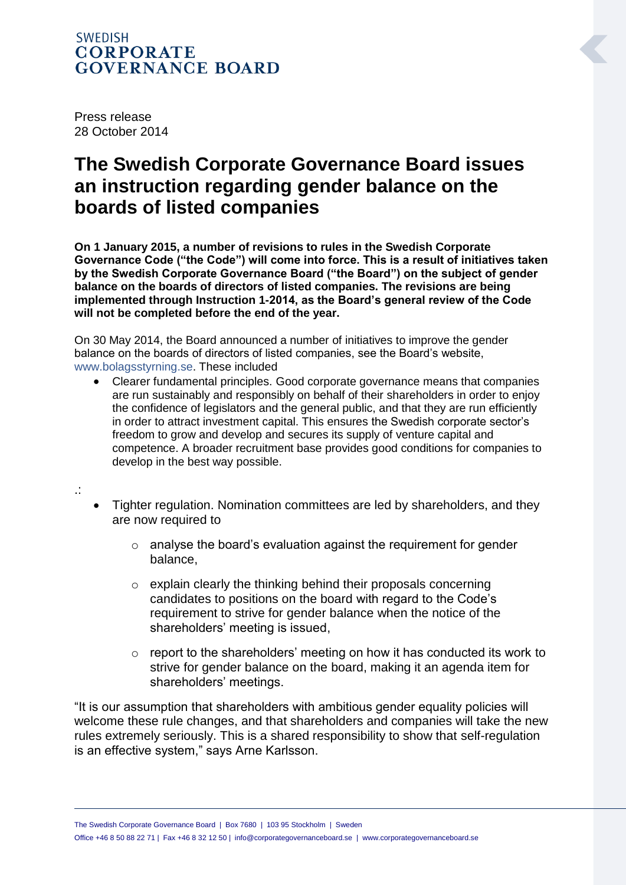## **SWEDISH CORPORATE GOVERNANCE BOARD**

Press release 28 October 2014

## **The Swedish Corporate Governance Board issues an instruction regarding gender balance on the boards of listed companies**

**On 1 January 2015, a number of revisions to rules in the Swedish Corporate Governance Code ("the Code") will come into force. This is a result of initiatives taken by the Swedish Corporate Governance Board ("the Board") on the subject of gender balance on the boards of directors of listed companies. The revisions are being implemented through Instruction 1-2014, as the Board's general review of the Code will not be completed before the end of the year.** 

On 30 May 2014, the Board announced a number of initiatives to improve the gender balance on the boards of directors of listed companies, see the Board's website, [www.bolagsstyrning.se.](http://www.bolagsstyrning.se/) These included

 Clearer fundamental principles. Good corporate governance means that companies are run sustainably and responsibly on behalf of their shareholders in order to enjoy the confidence of legislators and the general public, and that they are run efficiently in order to attract investment capital. This ensures the Swedish corporate sector's freedom to grow and develop and secures its supply of venture capital and competence. A broader recruitment base provides good conditions for companies to develop in the best way possible.

.:

- Tighter regulation. Nomination committees are led by shareholders, and they are now required to
	- o analyse the board's evaluation against the requirement for gender balance,
	- o explain clearly the thinking behind their proposals concerning candidates to positions on the board with regard to the Code's requirement to strive for gender balance when the notice of the shareholders' meeting is issued,
	- o report to the shareholders' meeting on how it has conducted its work to strive for gender balance on the board, making it an agenda item for shareholders' meetings.

"It is our assumption that shareholders with ambitious gender equality policies will welcome these rule changes, and that shareholders and companies will take the new rules extremely seriously. This is a shared responsibility to show that self-regulation is an effective system," says Arne Karlsson.